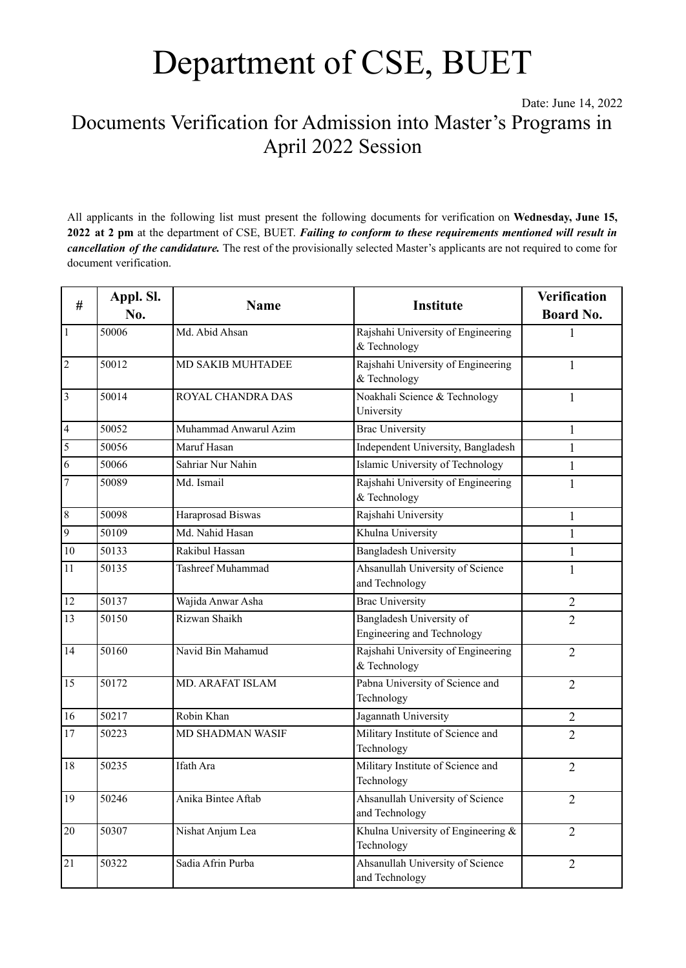Date: June 14, 2022 Documents Verification for Admission into Master's Programs in April 2022 Session

All applicants in the following list must present the following documents for verification on **Wednesday, June 15, 2022 at 2 pm** at the department of CSE, BUET. *Failing to conform to these requirements mentioned will result in cancellation of the candidature.* The rest of the provisionally selected Master's applicants are not required to come for document verification.

| #               | Appl. Sl.<br>No. | <b>Name</b>             | <b>Institute</b>                                              | <b>Verification</b> |
|-----------------|------------------|-------------------------|---------------------------------------------------------------|---------------------|
|                 |                  |                         |                                                               | <b>Board No.</b>    |
| $\overline{1}$  | 50006            | Md. Abid Ahsan          | Rajshahi University of Engineering<br>& Technology            | 1                   |
| $\overline{2}$  | 50012            | MD SAKIB MUHTADEE       | Rajshahi University of Engineering<br>& Technology            | 1                   |
| $\overline{3}$  | 50014            | ROYAL CHANDRA DAS       | Noakhali Science & Technology<br>University                   | 1                   |
| $\overline{4}$  | 50052            | Muhammad Anwarul Azim   | <b>Brac University</b>                                        | 1                   |
| $\overline{5}$  | 50056            | Maruf Hasan             | Independent University, Bangladesh                            | $\mathbf{1}$        |
| $\overline{6}$  | 50066            | Sahriar Nur Nahin       | Islamic University of Technology                              | $\mathbf{1}$        |
| $\overline{7}$  | 50089            | Md. Ismail              | Rajshahi University of Engineering<br>& Technology            | $\mathbf{1}$        |
| $\overline{8}$  | 50098            | Haraprosad Biswas       | Rajshahi University                                           | $\mathbf{1}$        |
| $\overline{9}$  | 50109            | Md. Nahid Hasan         | Khulna University                                             | 1                   |
| 10              | 50133            | Rakibul Hassan          | <b>Bangladesh University</b>                                  | 1                   |
| 11              | 50135            | Tashreef Muhammad       | Ahsanullah University of Science<br>and Technology            | 1                   |
| 12              | 50137            | Wajida Anwar Asha       | <b>Brac University</b>                                        | 2                   |
| 13              | 50150            | Rizwan Shaikh           | Bangladesh University of<br><b>Engineering and Technology</b> | $\overline{2}$      |
| 14              | 50160            | Navid Bin Mahamud       | Rajshahi University of Engineering<br>& Technology            | $\overline{2}$      |
| 15              | 50172            | <b>MD. ARAFAT ISLAM</b> | Pabna University of Science and<br>Technology                 | $\overline{2}$      |
| 16              | 50217            | Robin Khan              | Jagannath University                                          | $\overline{2}$      |
| 17              | 50223            | <b>MD SHADMAN WASIF</b> | Military Institute of Science and<br>Technology               | $\overline{2}$      |
| 18              | 50235            | Ifath Ara               | Military Institute of Science and<br>Technology               | $\overline{2}$      |
| 19              | 50246            | Anika Bintee Aftab      | Ahsanullah University of Science<br>and Technology            | $\overline{2}$      |
| $\overline{20}$ | 50307            | Nishat Anjum Lea        | Khulna University of Engineering &<br>Technology              | $\overline{2}$      |
| $\overline{21}$ | 50322            | Sadia Afrin Purba       | Ahsanullah University of Science<br>and Technology            | $\overline{2}$      |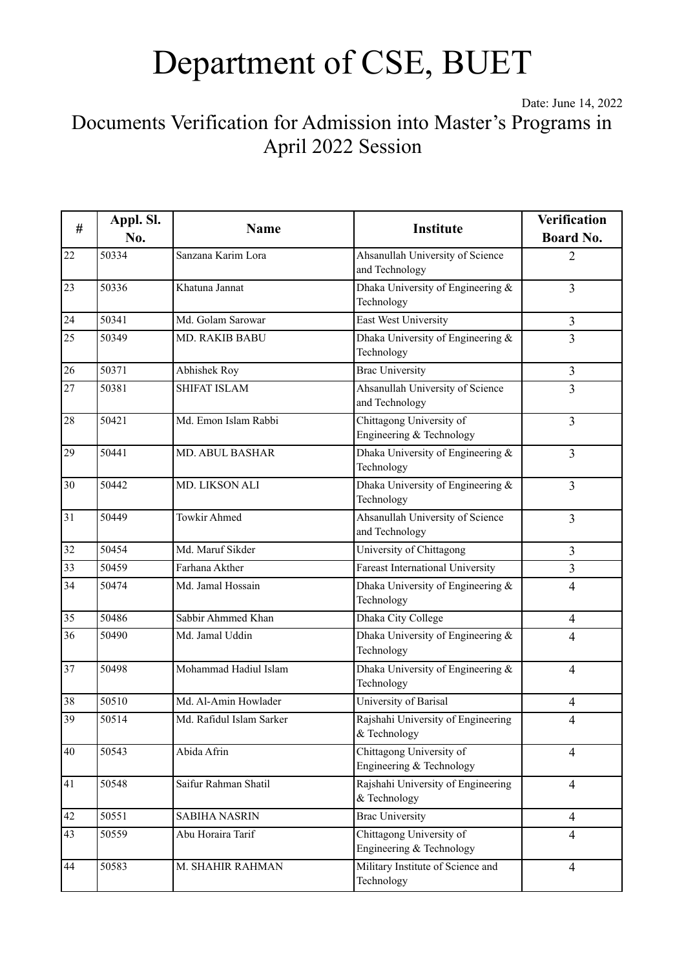Date: June 14, 2022

Documents Verification for Admission into Master's Programs in April 2022 Session

| #               | Appl. Sl.<br>No. | <b>Name</b>              |                                                      | <b>Verification</b> |
|-----------------|------------------|--------------------------|------------------------------------------------------|---------------------|
|                 |                  |                          | Institute                                            | <b>Board No.</b>    |
| 22              | 50334            | Sanzana Karim Lora       | Ahsanullah University of Science<br>and Technology   | 2                   |
| 23              | 50336            | Khatuna Jannat           | Dhaka University of Engineering &<br>Technology      | $\overline{3}$      |
| 24              | 50341            | Md. Golam Sarowar        | East West University                                 | $\overline{3}$      |
| 25              | 50349            | <b>MD. RAKIB BABU</b>    | Dhaka University of Engineering &<br>Technology      | $\overline{3}$      |
| 26              | 50371            | Abhishek Roy             | <b>Brac University</b>                               | $\overline{3}$      |
| $\overline{27}$ | 50381            | <b>SHIFAT ISLAM</b>      | Ahsanullah University of Science<br>and Technology   | $\overline{3}$      |
| 28              | 50421            | Md. Emon Islam Rabbi     | Chittagong University of<br>Engineering & Technology | $\overline{3}$      |
| 29              | 50441            | MD. ABUL BASHAR          | Dhaka University of Engineering &<br>Technology      | $\overline{3}$      |
| 30              | 50442            | MD. LIKSON ALI           | Dhaka University of Engineering &<br>Technology      | $\overline{3}$      |
| 31              | 50449            | <b>Towkir Ahmed</b>      | Ahsanullah University of Science<br>and Technology   | $\overline{3}$      |
| 32              | 50454            | Md. Maruf Sikder         | University of Chittagong                             | $\overline{3}$      |
| $\overline{33}$ | 50459            | Farhana Akther           | Fareast International University                     | $\overline{3}$      |
| 34              | 50474            | Md. Jamal Hossain        | Dhaka University of Engineering &<br>Technology      | $\overline{4}$      |
| $\overline{35}$ | 50486            | Sabbir Ahmmed Khan       | Dhaka City College                                   | $\overline{4}$      |
| 36              | 50490            | Md. Jamal Uddin          | Dhaka University of Engineering &<br>Technology      | $\overline{4}$      |
| 37              | 50498            | Mohammad Hadiul Islam    | Dhaka University of Engineering &<br>Technology      | $\overline{4}$      |
| 38              | 50510            | Md. Al-Amin Howlader     | University of Barisal                                | $\overline{4}$      |
| $\overline{39}$ | 50514            | Md. Rafidul Islam Sarker | Rajshahi University of Engineering<br>& Technology   | 4                   |
| 40              | 50543            | Abida Afrin              | Chittagong University of<br>Engineering & Technology | $\overline{4}$      |
| 41              | 50548            | Saifur Rahman Shatil     | Rajshahi University of Engineering<br>& Technology   | $\overline{4}$      |
| 42              | 50551            | <b>SABIHA NASRIN</b>     | <b>Brac University</b>                               | $\overline{4}$      |
| $\overline{43}$ | 50559            | Abu Horaira Tarif        | Chittagong University of<br>Engineering & Technology | $\overline{4}$      |
| 44              | 50583            | M. SHAHIR RAHMAN         | Military Institute of Science and<br>Technology      | $\overline{4}$      |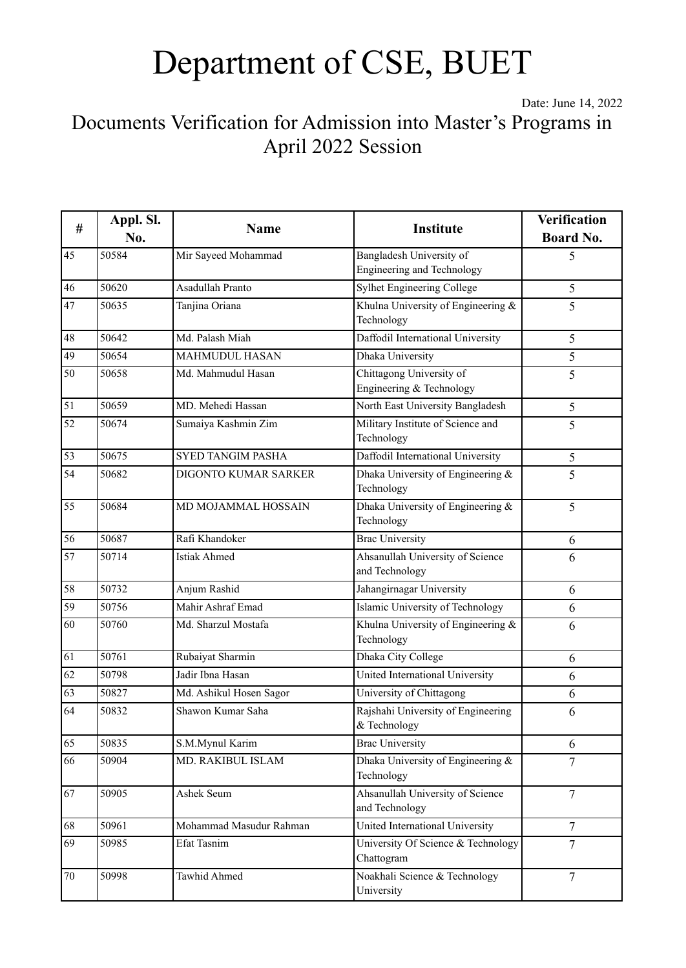Date: June 14, 2022

Documents Verification for Admission into Master's Programs in April 2022 Session

| $\#$            | Appl. Sl.<br>No. | <b>Name</b>              | Institute                                              | <b>Verification</b><br><b>Board No.</b> |
|-----------------|------------------|--------------------------|--------------------------------------------------------|-----------------------------------------|
| 45              | 50584            | Mir Sayeed Mohammad      | Bangladesh University of<br>Engineering and Technology | 5                                       |
| 46              | 50620            | Asadullah Pranto         | <b>Sylhet Engineering College</b>                      | 5                                       |
| 47              | 50635            | Tanjina Oriana           | Khulna University of Engineering &<br>Technology       | 5                                       |
| 48              | 50642            | Md. Palash Miah          | Daffodil International University                      | 5                                       |
| 49              | 50654            | <b>MAHMUDUL HASAN</b>    | <b>Dhaka University</b>                                | 5                                       |
| 50              | 50658            | Md. Mahmudul Hasan       | Chittagong University of<br>Engineering & Technology   | 5                                       |
| 51              | 50659            | MD. Mehedi Hassan        | North East University Bangladesh                       | 5                                       |
| 52              | 50674            | Sumaiya Kashmin Zim      | Military Institute of Science and<br>Technology        | 5                                       |
| 53              | 50675            | <b>SYED TANGIM PASHA</b> | Daffodil International University                      | $\mathfrak s$                           |
| 54              | 50682            | DIGONTO KUMAR SARKER     | Dhaka University of Engineering &<br>Technology        | 5                                       |
| $\overline{55}$ | 50684            | MD MOJAMMAL HOSSAIN      | Dhaka University of Engineering &<br>Technology        | $\overline{5}$                          |
| 56              | 50687            | Rafi Khandoker           | <b>Brac University</b>                                 | 6                                       |
| 57              | 50714            | <b>Istiak Ahmed</b>      | Ahsanullah University of Science<br>and Technology     | 6                                       |
| 58              | 50732            | Anjum Rashid             | Jahangirnagar University                               | 6                                       |
| 59              | 50756            | Mahir Ashraf Emad        | Islamic University of Technology                       | 6                                       |
| 60              | 50760            | Md. Sharzul Mostafa      | Khulna University of Engineering &<br>Technology       | 6                                       |
| 61              | 50761            | Rubaiyat Sharmin         | Dhaka City College                                     | 6                                       |
| 62              | 50798            | Jadir Ibna Hasan         | United International University                        | 6                                       |
| 63              | 50827            | Md. Ashikul Hosen Sagor  | University of Chittagong                               | 6                                       |
| 64              | 50832            | Shawon Kumar Saha        | Rajshahi University of Engineering<br>& Technology     | 6                                       |
| 65              | 50835            | S.M.Mynul Karim          | <b>Brac University</b>                                 | 6                                       |
| 66              | 50904            | MD. RAKIBUL ISLAM        | Dhaka University of Engineering &<br>Technology        | $\overline{7}$                          |
| 67              | 50905            | Ashek Seum               | Ahsanullah University of Science<br>and Technology     | $\overline{7}$                          |
| 68              | 50961            | Mohammad Masudur Rahman  | United International University                        | $\overline{7}$                          |
| 69              | 50985            | Efat Tasnim              | University Of Science & Technology<br>Chattogram       | $\overline{7}$                          |
| $70\,$          | 50998            | Tawhid Ahmed             | Noakhali Science & Technology<br>University            | $\overline{7}$                          |